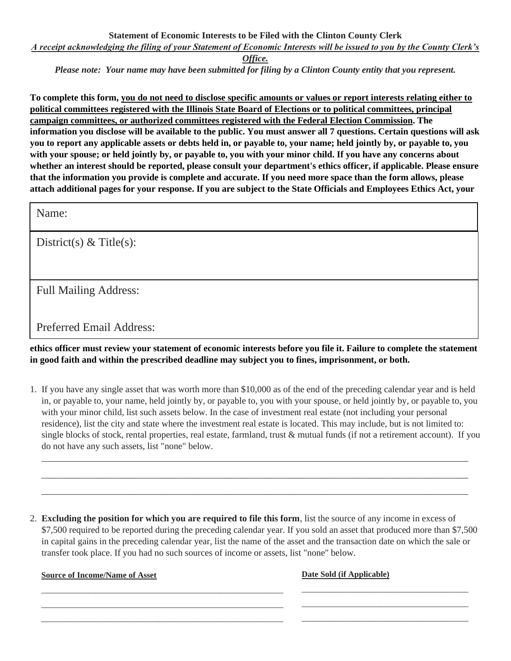## **Statement of Economic Interests to be Filed with the Clinton County Clerk** *A receipt acknowledging the filing of your Statement of Economic Interests will be issued to you by the County Clerk's*

*Office.*

*Please note: Your name may have been submitted for filing by a Clinton County entity that you represent.*

**To complete this form, you do not need to disclose specific amounts or values or report interests relating either to political committees registered with the Illinois State Board of Elections or to political committees, principal campaign committees, or authorized committees registered with the Federal Election Commission. The information you disclose will be available to the public. You must answer all 7 questions. Certain questions will ask you to report any applicable assets or debts held in, or payable to, your name; held jointly by, or payable to, you with your spouse; or held jointly by, or payable to, you with your minor child. If you have any concerns about whether an interest should be reported, please consult your department's ethics officer, if applicable. Please ensure that the information you provide is complete and accurate. If you need more space than the form allows, please attach additional pages for your response. If you are subject to the State Officials and Employees Ethics Act, your** 

Name:

District(s)  $& Title(s):$ 

Full Mailing Address:

Preferred Email Address:

**ethics officer must review your statement of economic interests before you file it. Failure to complete the statement in good faith and within the prescribed deadline may subject you to fines, imprisonment, or both.**

1. If you have any single asset that was worth more than \$10,000 as of the end of the preceding calendar year and is held in, or payable to, your name, held jointly by, or payable to, you with your spouse, or held jointly by, or payable to, you with your minor child, list such assets below. In the case of investment real estate (not including your personal residence), list the city and state where the investment real estate is located. This may include, but is not limited to: single blocks of stock, rental properties, real estate, farmland, trust & mutual funds (if not a retirement account). If you do not have any such assets, list "none" below.

 $\overline{\phantom{a}}$  , and the contribution of the contribution of the contribution of the contribution of the contribution of the contribution of the contribution of the contribution of the contribution of the contribution of the  $\overline{\phantom{a}}$  , and the contribution of the contribution of the contribution of the contribution of the contribution of the contribution of the contribution of the contribution of the contribution of the contribution of the  $\overline{\phantom{a}}$  , and the contribution of the contribution of the contribution of the contribution of the contribution of the contribution of the contribution of the contribution of the contribution of the contribution of the

2. **Excluding the position for which you are required to file this form**, list the source of any income in excess of \$7,500 required to be reported during the preceding calendar year. If you sold an asset that produced more than \$7,500 in capital gains in the preceding calendar year, list the name of the asset and the transaction date on which the sale or transfer took place. If you had no such sources of income or assets, list "none" below.

**Source of Income/Name of Asset**

\_\_\_\_\_\_\_\_\_\_\_\_\_\_\_\_\_\_\_\_\_\_\_\_\_\_\_\_\_\_\_\_\_\_\_\_\_\_\_\_\_\_\_\_\_\_\_\_\_\_\_\_\_\_\_\_\_\_ \_\_\_\_\_\_\_\_\_\_\_\_\_\_\_\_\_\_\_\_\_\_\_\_\_\_\_\_\_\_\_\_\_\_\_\_\_\_\_\_\_\_\_\_\_\_\_\_\_\_\_\_\_\_\_\_\_\_ \_\_\_\_\_\_\_\_\_\_\_\_\_\_\_\_\_\_\_\_\_\_\_\_\_\_\_\_\_\_\_\_\_\_\_\_\_\_\_\_\_\_\_\_\_\_\_\_\_\_\_\_\_\_\_\_\_\_ **Date Sold (if Applicable)**

\_\_\_\_\_\_\_\_\_\_\_\_\_\_\_\_\_\_\_\_\_\_\_\_\_\_\_\_\_\_\_\_\_\_\_\_\_\_\_\_ \_\_\_\_\_\_\_\_\_\_\_\_\_\_\_\_\_\_\_\_\_\_\_\_\_\_\_\_\_\_\_\_\_\_\_\_\_\_\_\_ \_\_\_\_\_\_\_\_\_\_\_\_\_\_\_\_\_\_\_\_\_\_\_\_\_\_\_\_\_\_\_\_\_\_\_\_\_\_\_\_